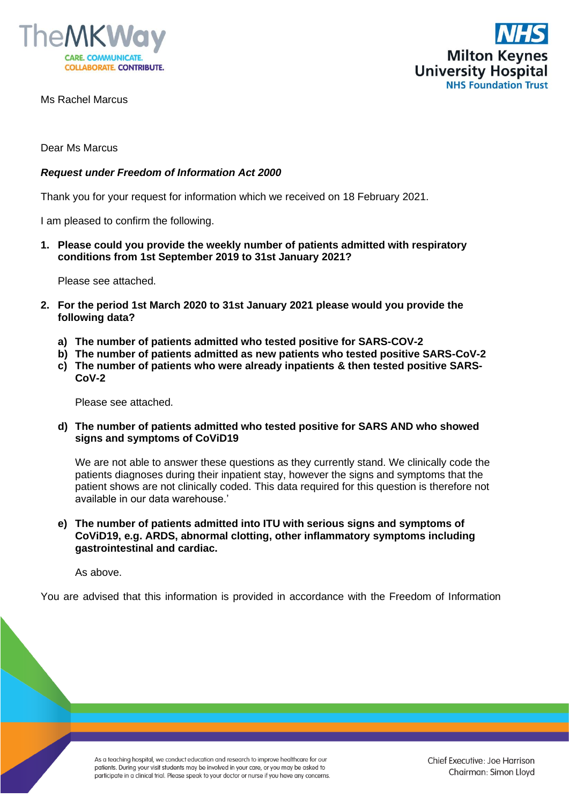



Ms Rachel Marcus

Dear Ms Marcus

## *Request under Freedom of Information Act 2000*

Thank you for your request for information which we received on 18 February 2021.

I am pleased to confirm the following.

**1. Please could you provide the weekly number of patients admitted with respiratory conditions from 1st September 2019 to 31st January 2021?**

Please see attached.

- **2. For the period 1st March 2020 to 31st January 2021 please would you provide the following data?**
	- **a) The number of patients admitted who tested positive for SARS-COV-2**
	- **b) The number of patients admitted as new patients who tested positive SARS-CoV-2**
	- **c) The number of patients who were already inpatients & then tested positive SARS-CoV-2**

Please see attached.

**d) The number of patients admitted who tested positive for SARS AND who showed signs and symptoms of CoViD19**

We are not able to answer these questions as they currently stand. We clinically code the patients diagnoses during their inpatient stay, however the signs and symptoms that the patient shows are not clinically coded. This data required for this question is therefore not available in our data warehouse.'

**e) The number of patients admitted into ITU with serious signs and symptoms of CoViD19, e.g. ARDS, abnormal clotting, other inflammatory symptoms including gastrointestinal and cardiac.**

As above.

You are advised that this information is provided in accordance with the Freedom of Information

As a teaching hospital, we conduct education and research to improve healthcare for our patients. During your visit students may be involved in your care, or you may be asked to participate in a clinical trial. Please speak to your doctor or nurse if you have any concerns.